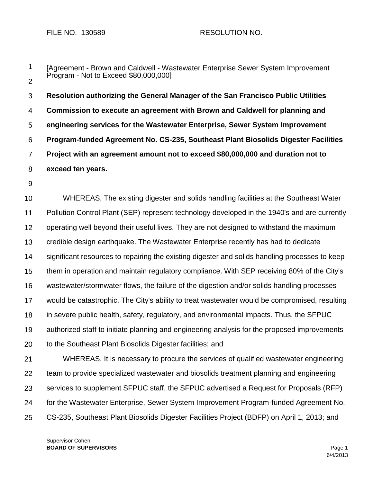1 2 [Agreement - Brown and Caldwell - Wastewater Enterprise Sewer System Improvement Program - Not to Exceed \$80,000,000]

3 4 5 6 7 8 **Resolution authorizing the General Manager of the San Francisco Public Utilities Commission to execute an agreement with Brown and Caldwell for planning and engineering services for the Wastewater Enterprise, Sewer System Improvement Program-funded Agreement No. CS-235, Southeast Plant Biosolids Digester Facilities Project with an agreement amount not to exceed \$80,000,000 and duration not to exceed ten years.** 

9

10 11 12 13 14 15 16 17 18 19 20 WHEREAS, The existing digester and solids handling facilities at the Southeast Water Pollution Control Plant (SEP) represent technology developed in the 1940's and are currently operating well beyond their useful lives. They are not designed to withstand the maximum credible design earthquake. The Wastewater Enterprise recently has had to dedicate significant resources to repairing the existing digester and solids handling processes to keep them in operation and maintain regulatory compliance. With SEP receiving 80% of the City's wastewater/stormwater flows, the failure of the digestion and/or solids handling processes would be catastrophic. The City's ability to treat wastewater would be compromised, resulting in severe public health, safety, regulatory, and environmental impacts. Thus, the SFPUC authorized staff to initiate planning and engineering analysis for the proposed improvements to the Southeast Plant Biosolids Digester facilities; and

21 22 23 24 25 WHEREAS, It is necessary to procure the services of qualified wastewater engineering team to provide specialized wastewater and biosolids treatment planning and engineering services to supplement SFPUC staff, the SFPUC advertised a Request for Proposals (RFP) for the Wastewater Enterprise, Sewer System Improvement Program-funded Agreement No. CS-235, Southeast Plant Biosolids Digester Facilities Project (BDFP) on April 1, 2013; and

Supervisor Cohen **BOARD OF SUPERVISORS** Page 1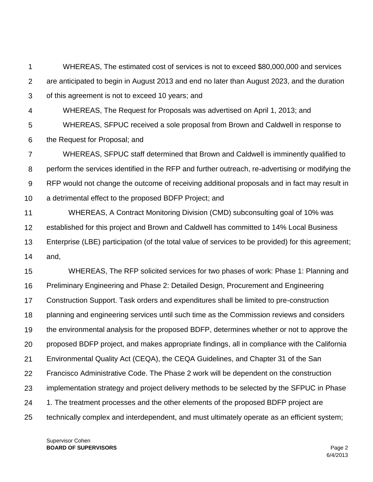1 2 3 WHEREAS, The estimated cost of services is not to exceed \$80,000,000 and services are anticipated to begin in August 2013 and end no later than August 2023, and the duration of this agreement is not to exceed 10 years; and

4 WHEREAS, The Request for Proposals was advertised on April 1, 2013; and

5 6 WHEREAS, SFPUC received a sole proposal from Brown and Caldwell in response to the Request for Proposal; and

7 8 9 10 WHEREAS, SFPUC staff determined that Brown and Caldwell is imminently qualified to perform the services identified in the RFP and further outreach, re-advertising or modifying the RFP would not change the outcome of receiving additional proposals and in fact may result in a detrimental effect to the proposed BDFP Project; and

11 12 13 14 WHEREAS, A Contract Monitoring Division (CMD) subconsulting goal of 10% was established for this project and Brown and Caldwell has committed to 14% Local Business Enterprise (LBE) participation (of the total value of services to be provided) for this agreement; and,

15 16 17 18 19 20 21 22 23 24 25 WHEREAS, The RFP solicited services for two phases of work: Phase 1: Planning and Preliminary Engineering and Phase 2: Detailed Design, Procurement and Engineering Construction Support. Task orders and expenditures shall be limited to pre-construction planning and engineering services until such time as the Commission reviews and considers the environmental analysis for the proposed BDFP, determines whether or not to approve the proposed BDFP project, and makes appropriate findings, all in compliance with the California Environmental Quality Act (CEQA), the CEQA Guidelines, and Chapter 31 of the San Francisco Administrative Code. The Phase 2 work will be dependent on the construction implementation strategy and project delivery methods to be selected by the SFPUC in Phase 1. The treatment processes and the other elements of the proposed BDFP project are technically complex and interdependent, and must ultimately operate as an efficient system;

Supervisor Cohen **BOARD OF SUPERVISORS** Page 2